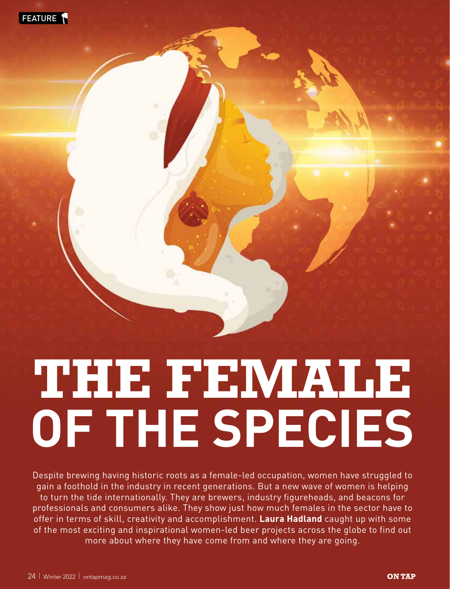

# **THE FEMALE OF THE SPECIES**

Despite brewing having historic roots as a female-led occupation, women have struggled to gain a foothold in the industry in recent generations. But a new wave of women is helping to turn the tide internationally. They are brewers, industry figureheads, and beacons for professionals and consumers alike. They show just how much females in the sector have to offer in terms of skill, creativity and accomplishment. **Laura Hadland** caught up with some of the most exciting and inspirational women-led beer projects across the globe to find out more about where they have come from and where they are going.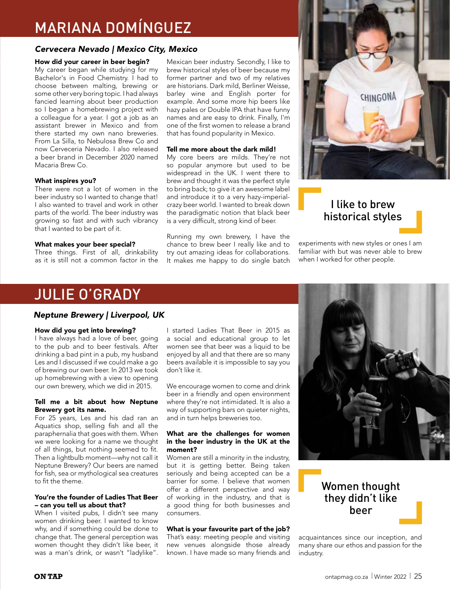# MARIANA DOMÍNGUEZ

#### *Cervecera Nevado | Mexico City, Mexico*

#### How did your career in beer begin?

My career began while studying for my Bachelor's in Food Chemistry. I had to choose between malting, brewing or some other very boring topic. I had always fancied learning about beer production so I began a homebrewing project with a colleague for a year. I got a job as an assistant brewer in Mexico and from there started my own nano breweries. From La Silla, to Nebulosa Brew Co and now Cerveceria Nevado. I also released a beer brand in December 2020 named Macaria Brew Co.

#### What inspires you?

There were not a lot of women in the beer industry so I wanted to change that! I also wanted to travel and work in other parts of the world. The beer industry was growing so fast and with such vibrancy that I wanted to be part of it.

#### What makes your beer special?

Three things. First of all, drinkability as it is still not a common factor in the Mexican beer industry. Secondly, I like to brew historical styles of beer because my former partner and two of my relatives are historians. Dark mild, Berliner Weisse, barley wine and English porter for example. And some more hip beers like hazy pales or Double IPA that have funny names and are easy to drink. Finally, I'm one of the first women to release a brand that has found popularity in Mexico.

#### Tell me more about the dark mild!

My core beers are milds. They're not so popular anymore but used to be widespread in the UK. I went there to brew and thought it was the perfect style to bring back; to give it an awesome label and introduce it to a very hazy-imperialcrazy beer world. I wanted to break down the paradigmatic notion that black beer is a very difficult, strong kind of beer.

Running my own brewery, I have the chance to brew beer I really like and to try out amazing ideas for collaborations. It makes me happy to do single batch



### I like to brew historical styles

experiments with new styles or ones I am familiar with but was never able to brew when I worked for other people.

## JULIE O'GRADY

#### *Neptune Brewery | Liverpool, UK*

#### How did you get into brewing?

I have always had a love of beer, going to the pub and to beer festivals. After drinking a bad pint in a pub, my husband Les and I discussed if we could make a go of brewing our own beer. In 2013 we took up homebrewing with a view to opening our own brewery, which we did in 2015.

#### Tell me a bit about how Neptune Brewery got its name.

For 25 years, Les and his dad ran an Aquatics shop, selling fish and all the paraphernalia that goes with them. When we were looking for a name we thought of all things, but nothing seemed to fit. Then a lightbulb moment—why not call it Neptune Brewery? Our beers are named for fish, sea or mythological sea creatures to fit the theme.

#### You're the founder of Ladies That Beer – can you tell us about that?

When I visited pubs, I didn't see many women drinking beer. I wanted to know why, and if something could be done to change that. The general perception was women thought they didn't like beer, it was a man's drink, or wasn't "ladylike".

I started Ladies That Beer in 2015 as a social and educational group to let women see that beer was a liquid to be enjoyed by all and that there are so many beers available it is impossible to say you don't like it.

We encourage women to come and drink beer in a friendly and open environment where they're not intimidated. It is also a way of supporting bars on quieter nights, and in turn helps breweries too.

#### What are the challenges for women in the beer industry in the UK at the moment?

Women are still a minority in the industry, but it is getting better. Being taken seriously and being accepted can be a barrier for some. I believe that women offer a different perspective and way of working in the industry, and that is a good thing for both businesses and consumers.

#### What is your favourite part of the job?

That's easy: meeting people and visiting new venues alongside those already known. I have made so many friends and



## Women thought they didn't like beer

acquaintances since our inception, and many share our ethos and passion for the industry.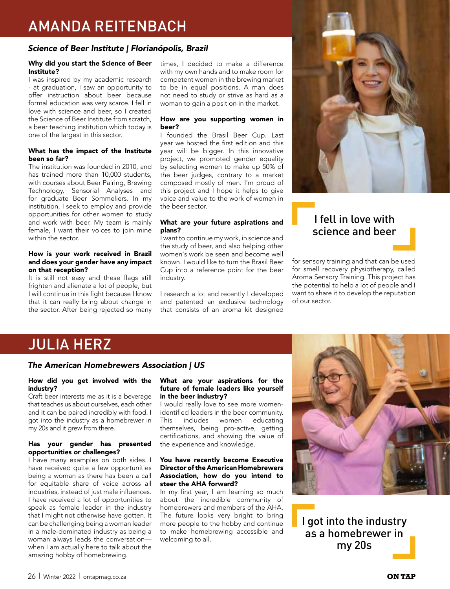# AMANDA REITENBACH

#### *Science of Beer Institute | Florianópolis, Brazil*

#### Why did you start the Science of Beer Institute?

I was inspired by my academic research - at graduation, I saw an opportunity to offer instruction about beer because formal education was very scarce. I fell in love with science and beer, so I created the Science of Beer Institute from scratch, a beer teaching institution which today is one of the largest in this sector.

#### What has the impact of the Institute been so far?

The institution was founded in 2010, and has trained more than 10,000 students, with courses about Beer Pairing, Brewing Technology, Sensorial Analyses and for graduate Beer Sommeliers. In my institution, I seek to employ and provide opportunities for other women to study and work with beer. My team is mainly female, I want their voices to join mine within the sector.

#### How is your work received in Brazil and does your gender have any impact on that reception?

It is still not easy and these flags still frighten and alienate a lot of people, but I will continue in this fight because I know that it can really bring about change in the sector. After being rejected so many times, I decided to make a difference with my own hands and to make room for competent women in the brewing market to be in equal positions. A man does not need to study or strive as hard as a woman to gain a position in the market.

#### How are you supporting women in beer?

I founded the Brasil Beer Cup. Last year we hosted the first edition and this year will be bigger. In this innovative project, we promoted gender equality by selecting women to make up 50% of the beer judges, contrary to a market composed mostly of men. I'm proud of this project and I hope it helps to give voice and value to the work of women in the beer sector.

#### What are your future aspirations and plans?

I want to continue my work, in science and the study of beer, and also helping other women's work be seen and become well known. I would like to turn the Brasil Beer Cup into a reference point for the beer industry.

I research a lot and recently I developed and patented an exclusive technology that consists of an aroma kit designed



## I fell in love with science and beer

for sensory training and that can be used for smell recovery physiotherapy, called Aroma Sensory Training. This project has the potential to help a lot of people and I want to share it to develop the reputation of our sector.

# JULIA HERZ

#### *The American Homebrewers Association | US*

#### How did you get involved with the industry?

Craft beer interests me as it is a beverage that teaches us about ourselves, each other and it can be paired incredibly with food. I got into the industry as a homebrewer in my 20s and it grew from there.

#### Has your gender has presented opportunities or challenges?

I have many examples on both sides. I have received quite a few opportunities being a woman as there has been a call for equitable share of voice across all industries, instead of just male influences. I have received a lot of opportunities to speak as female leader in the industry that I might not otherwise have gotten. It can be challenging being a woman leader in a male-dominated industry as being a woman always leads the conversation when I am actually here to talk about the amazing hobby of homebrewing.

#### What are your aspirations for the future of female leaders like yourself in the beer industry?

I would really love to see more womenidentified leaders in the beer community.<br>This includes women educating This includes women educating themselves, being pro-active, getting certifications, and showing the value of the experience and knowledge.

#### You have recently become Executive Director of the American Homebrewers Association, how do you intend to steer the AHA forward?

In my first year, I am learning so much about the incredible community of homebrewers and members of the AHA. The future looks very bright to bring more people to the hobby and continue to make homebrewing accessible and welcoming to all.



I got into the industry as a homebrewer in my 20s